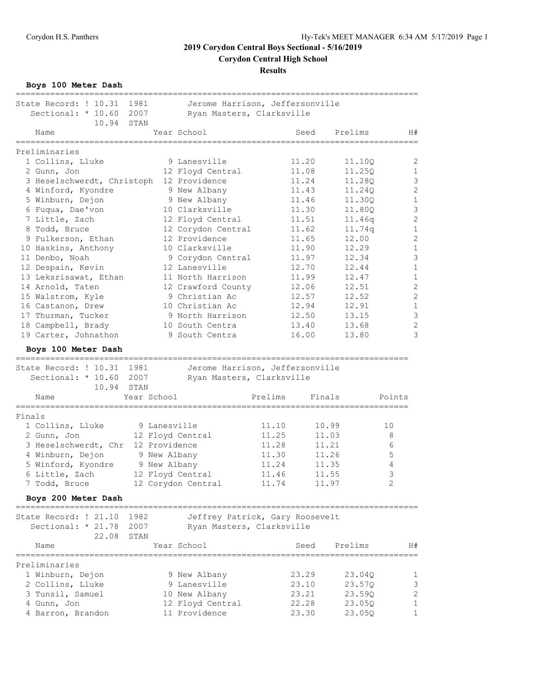**Results**

**Boys 100 Meter Dash**

| State Record: ! 10.31                       | 1981        |               | Jerome Harrison, Jeffersonville        |         |                |                                              |                |                              |
|---------------------------------------------|-------------|---------------|----------------------------------------|---------|----------------|----------------------------------------------|----------------|------------------------------|
| Sectional: * 10.60                          | 2007        |               | Ryan Masters, Clarksville              |         |                |                                              |                |                              |
| 10.94<br>Name                               | STAN        |               | Year School<br>======================= |         | Seed           | Prelims<br>================================= |                | H#                           |
| =====================<br>Preliminaries      |             |               |                                        |         |                |                                              |                |                              |
| 1 Collins, Lluke                            |             |               | 9 Lanesville                           |         | 11.20          | 11.10Q                                       |                | 2                            |
| 2 Gunn, Jon                                 |             |               | 12 Floyd Central                       |         | 11.08          | 11.25Q                                       |                | $\mathbf{1}$                 |
| 3 Heselschwerdt, Christoph                  |             |               | 12 Providence                          |         | 11.24          | 11.28Q                                       |                | $\mathfrak{Z}$               |
| 4 Winford, Kyondre                          |             |               | 9 New Albany                           |         | 11.43          | 11.24Q                                       |                | $\sqrt{2}$                   |
| 5 Winburn, Dejon                            |             |               | 9 New Albany                           |         | 11.46          | 11.30Q                                       |                | $\mathbf 1$                  |
| 6 Fuqua, Dae'von                            |             |               | 10 Clarksville                         |         | 11.30          | 11.80Q                                       |                | $\mathfrak{Z}$               |
| 7 Little, Zach                              |             |               | 12 Floyd Central                       |         | 11.51          | 11.46q                                       |                | $\overline{c}$               |
| 8 Todd, Bruce                               |             |               | 12 Corydon Central                     |         | 11.62          | 11.74q                                       |                | $\mathbf{1}$                 |
| 9 Fulkerson, Ethan                          |             |               | 12 Providence                          |         | 11.65          | 12.00                                        |                | $\overline{c}$               |
| 10 Haskins, Anthony                         |             |               | 10 Clarksville                         |         | 11.90          | 12.29                                        |                | $\mathbf 1$                  |
| 11 Denbo, Noah                              |             |               | 9 Corydon Central                      |         | 11.97          | 12.34                                        |                | $\mathsf 3$                  |
|                                             |             |               | 12 Lanesville                          |         | 12.70          | 12.44                                        |                | $\mathbf 1$                  |
| 12 Despain, Kevin                           |             |               |                                        |         |                |                                              |                |                              |
| 13 Leksrisawat, Ethan                       |             |               | 11 North Harrison                      |         | 11.99          | 12.47                                        |                | $\mathbf{1}$                 |
| 14 Arnold, Taten                            |             |               | 12 Crawford County                     |         | 12.06          | 12.51                                        |                | $\sqrt{2}$                   |
| 15 Walstrom, Kyle                           |             |               | 9 Christian Ac                         |         | 12.57          | 12.52                                        |                | $\overline{c}$               |
| 16 Castanon, Drew                           |             |               | 10 Christian Ac                        |         | 12.94          | 12.91                                        |                | $\,1\,$                      |
| 17 Thurman, Tucker                          |             |               | 9 North Harrison                       |         | 12.50          | 13.15                                        |                | $\mathfrak{Z}$               |
| 18 Campbell, Brady                          |             |               | 10 South Centra                        |         | 13.40          | 13.68                                        |                | $\sqrt{2}$                   |
| 19 Carter, Johnathon                        |             |               | 9 South Centra                         |         | 16.00          | 13.80                                        |                | 3                            |
| Boys 100 Meter Dash<br>==================== |             |               |                                        |         |                |                                              |                |                              |
| State Record: ! 10.31                       | 1981        |               | Jerome Harrison, Jeffersonville        |         |                |                                              |                |                              |
| Sectional: * 10.60                          | 2007        |               | Ryan Masters, Clarksville              |         |                |                                              |                |                              |
| 10.94                                       | STAN        |               |                                        |         |                |                                              |                |                              |
| Name                                        | Year School |               |                                        | Prelims |                | Finals                                       | Points         |                              |
| Finals                                      |             |               |                                        |         |                |                                              |                |                              |
| 1 Collins, Lluke                            |             | 9 Lanesville  |                                        | 11.10   |                | 10.99                                        | 10             |                              |
| 2 Gunn, Jon                                 |             |               | 12 Floyd Central                       | 11.25   |                | 11.03                                        | 8              |                              |
| 3 Heselschwerdt, Chr                        |             | 12 Providence |                                        | 11.28   |                | 11.21                                        | 6              |                              |
| 4 Winburn, Dejon                            |             |               | 9 New Albany                           | 11.30   |                | 11.26                                        | 5              |                              |
| 5 Winford, Kyondre                          |             |               | 9 New Albany                           | 11.24   |                | 11.35                                        | 4              |                              |
| 6 Little, Zach                              |             |               | 12 Floyd Central                       | 11.46   |                | 11.55                                        | 3              |                              |
| 7 Todd, Bruce                               |             |               | 12 Corydon Central                     | 11.74   |                | 11.97                                        | $\overline{c}$ |                              |
|                                             |             |               |                                        |         |                |                                              |                |                              |
| Boys 200 Meter Dash                         |             |               |                                        |         |                |                                              |                |                              |
| State Record: ! 21.10                       | 1982        |               | Jeffrey Patrick, Gary Roosevelt        |         |                |                                              |                |                              |
| Sectional: * 21.78                          |             |               |                                        |         |                |                                              |                |                              |
|                                             | 2007        |               | Ryan Masters, Clarksville              |         |                |                                              |                |                              |
| 22.08                                       | STAN        |               |                                        |         |                |                                              |                |                              |
| Name                                        |             |               | Year School                            |         | Seed           | Prelims                                      |                | H#                           |
|                                             |             |               |                                        |         |                |                                              |                |                              |
| Preliminaries                               |             |               |                                        |         |                |                                              |                |                              |
| 1 Winburn, Dejon                            |             |               | 9 New Albany                           |         | 23.29          | 23.04Q                                       |                | 1                            |
| 2 Collins, Lluke                            |             |               | 9 Lanesville                           |         | 23.10          | 23.57Q                                       |                | $\mathsf 3$                  |
| 3 Tunsil, Samuel                            |             |               | 10 New Albany                          |         | 23.21          | 23.59Q                                       |                | $\sqrt{2}$                   |
| 4 Gunn, Jon<br>4 Barron, Brandon            |             |               | 12 Floyd Central<br>11 Providence      |         | 22.28<br>23.30 | 23.05Q<br>23.05Q                             |                | $\mathbf{1}$<br>$\mathbf{1}$ |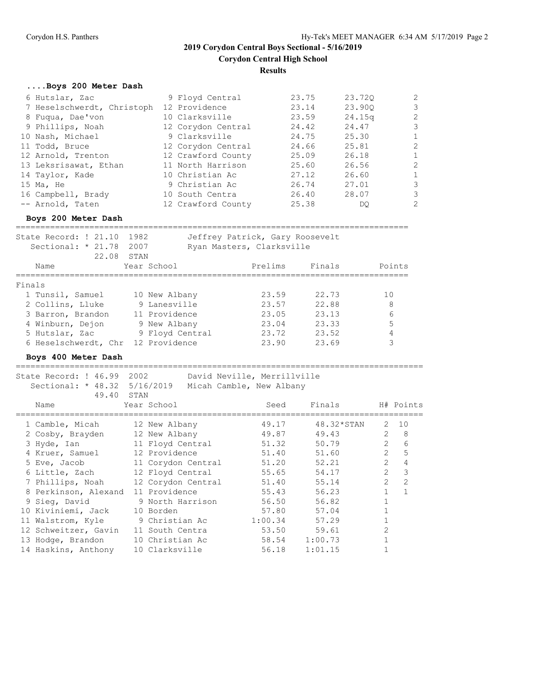#### **Results**

#### **....Boys 200 Meter Dash**

| 6 Hutslar, Zac                           | 9 Floyd Central    | 23.75 | 23.720 | $\overline{2}$ |
|------------------------------------------|--------------------|-------|--------|----------------|
| 7 Heselschwerdt, Christoph 12 Providence |                    | 23.14 | 23.900 | 3              |
| 8 Fuqua, Dae'von                         | 10 Clarksville     | 23.59 | 24.15q | $\overline{c}$ |
| 9 Phillips, Noah                         | 12 Corydon Central | 24.42 | 24.47  | 3              |
| 10 Nash, Michael                         | 9 Clarksville      | 24.75 | 25.30  | $\mathbf{1}$   |
| 11 Todd, Bruce                           | 12 Corydon Central | 24.66 | 25.81  | $\overline{c}$ |
| 12 Arnold, Trenton                       | 12 Crawford County | 25.09 | 26.18  | 1              |
| 13 Leksrisawat, Ethan                    | 11 North Harrison  | 25.60 | 26.56  | $\overline{c}$ |
| 14 Taylor, Kade                          | 10 Christian Ac    | 27.12 | 26.60  | $\mathbf{1}$   |
| 15 Ma, He                                | 9 Christian Ac     | 26.74 | 27.01  | 3              |
| 16 Campbell, Brady                       | 10 South Centra    | 26.40 | 28.07  | 3              |
| -- Arnold, Taten                         | 12 Crawford County | 25.38 | DO.    | $\overline{2}$ |

#### **Boys 200 Meter Dash**

================================================================================

| State Record: ! 21.10 1982<br>Sectional: $* 21.78$<br>22.08 | 2007<br>STAN    | Jeffrey Patrick, Gary Roosevelt<br>Ryan Masters, Clarksville |        |        |
|-------------------------------------------------------------|-----------------|--------------------------------------------------------------|--------|--------|
| Name                                                        | Year School     | Prelims                                                      | Finals | Points |
| Finals                                                      |                 |                                                              |        |        |
| 1 Tunsil, Samuel                                            | 10 New Albany   | 23.59                                                        | 22.73  | 10     |
| 2 Collins, Lluke                                            | 9 Lanesville    | 23.57                                                        | 22.88  | 8      |
| 3 Barron, Brandon                                           | 11 Providence   | 23.05                                                        | 23.13  | 6      |
| 4 Winburn, Dejon                                            | 9 New Albany    | 23.04                                                        | 23.33  | 5      |
| 5 Hutslar, Zac                                              | 9 Floyd Central | 23.72                                                        | 23.52  |        |
| 6 Heselschwerdt, Chr                                        | 12 Providence   | 23.90                                                        | 23.69  |        |

#### **Boys 400 Meter Dash**

State Record: ! 46.99 2002 David Neville, Merrillville Sectional: \* 48.32 5/16/2019 Micah Camble, New Albany 49.40 STAN<br>Year School Name Year School Seed Finals H# Points =================================================================================== 1 Camble, Micah 12 New Albany 49.17 48.32\*STAN 2 10 2 Cosby, Brayden 12 New Albany 49.87 49.43 2 8 3 Hyde, Ian 11 Floyd Central 51.32 50.79 2 6 4 Kruer, Samuel 12 Providence 51.40 51.60 2 5 5 Eve, Jacob 11 Corydon Central 51.20 52.21 2 4 6 Little, Zach 12 Floyd Central 55.65 54.17 2 3 7 Phillips, Noah 12 Corydon Central 51.40 55.14 2 2 8 Perkinson, Alexand 11 Providence 55.43 56.23 1 1 9 Sieg, David 9 North Harrison 56.50 56.82 1 10 Kiviniemi, Jack 10 Borden 57.80 57.04 1 11 Walstrom, Kyle 9 Christian Ac 1:00.34 57.29 1 12 Schweitzer, Gavin 11 South Centra 53.50 59.61 2 13 Hodge, Brandon 10 Christian Ac 58.54 1:00.73 1 14 Haskins, Anthony 10 Clarksville 56.18 1:01.15 1

===================================================================================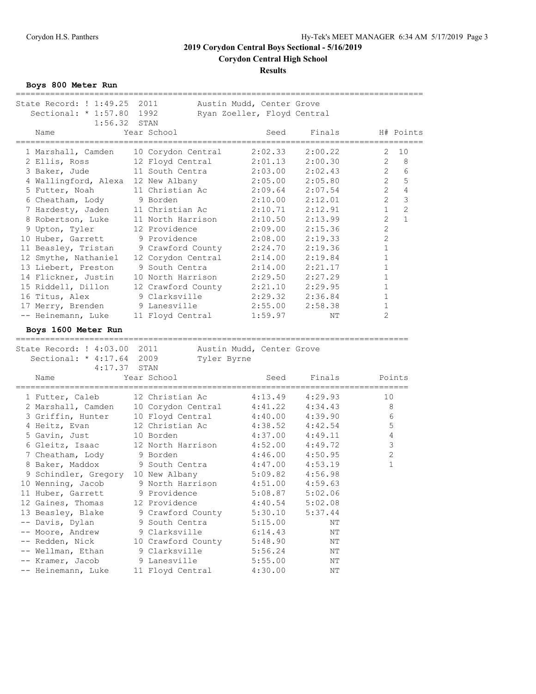**Results**

**Boys 800 Meter Run**

| State Record: ! 1:49.25 2011           |                    | Austin Mudd, Center Grove   |                                       |                |                |
|----------------------------------------|--------------------|-----------------------------|---------------------------------------|----------------|----------------|
| Sectional: * 1:57.80                   | 1992               | Ryan Zoeller, Floyd Central |                                       |                |                |
| 1:56.32                                | STAN               |                             |                                       |                |                |
| Name                                   | Year School        | Seed                        | Finals                                |                | H# Points      |
|                                        |                    |                             | ------------------------------------- |                |                |
| 1 Marshall, Camden                     | 10 Corydon Central | 2:02.33                     | 2:00.22                               | 2              | 10             |
| 2 Ellis, Ross                          | 12 Floyd Central   | 2:01.13                     | 2:00.30                               | 2              | 8              |
| 3 Baker, Jude                          | 11 South Centra    | 2:03.00                     | 2:02.43                               | 2              | 6              |
| 4 Wallingford, Alexa 12 New Albany     |                    | 2:05.00                     | 2:05.80                               | $\overline{2}$ | 5              |
| 5 Futter, Noah                         | 11 Christian Ac    | 2:09.64                     | 2:07.54                               | $\overline{2}$ | $\overline{4}$ |
| 6 Cheatham, Lody                       | 9 Borden           | 2:10.00                     | 2:12.01                               | $\overline{2}$ | $\mathbf{3}$   |
| 7 Hardesty, Jaden                      | 11 Christian Ac    | 2:10.71                     | 2:12.91                               | $\mathbf{1}$   | $\overline{2}$ |
| 8 Robertson, Luke                      | 11 North Harrison  | 2:10.50                     | 2:13.99                               | $\overline{2}$ | $\mathbf{1}$   |
| 9 Upton, Tyler                         | 12 Providence      | 2:09.00                     | 2:15.36                               | 2              |                |
| 10 Huber, Garrett                      | 9 Providence       | 2:08.00                     | 2:19.33                               | $\overline{2}$ |                |
| 11 Beasley, Tristan                    | 9 Crawford County  | 2:24.70                     | 2:19.36                               | $\mathbf 1$    |                |
|                                        |                    |                             |                                       | $\mathbf 1$    |                |
| 12 Smythe, Nathaniel                   | 12 Corydon Central | 2:14.00                     | 2:19.84                               |                |                |
| 13 Liebert, Preston                    | 9 South Centra     | 2:14.00                     | 2:21.17                               | $\mathbf{1}$   |                |
| 14 Flickner, Justin                    | 10 North Harrison  | 2:29.50                     | 2:27.29                               | $\mathbf 1$    |                |
| 15 Riddell, Dillon                     | 12 Crawford County | 2:21.10                     | 2:29.95                               | $\mathbf{1}$   |                |
| 16 Titus, Alex                         | 9 Clarksville      | 2:29.32                     | 2:36.84                               | $\mathbf{1}$   |                |
| 17 Merry, Brenden                      | 9 Lanesville       | 2:55.00                     | 2:58.38                               | 1              |                |
| -- Heinemann, Luke                     | 11 Floyd Central   | 1:59.97                     | ΝT                                    | 2              |                |
| Boys 1600 Meter Run                    |                    |                             |                                       |                |                |
|                                        |                    |                             |                                       |                |                |
|                                        |                    |                             |                                       |                |                |
|                                        |                    |                             |                                       |                |                |
| State Record: ! 4:03.00 2011           |                    | Austin Mudd, Center Grove   |                                       |                |                |
| Sectional: * 4:17.64 2009              | Tyler Byrne        |                             |                                       |                |                |
| 4:17.37                                | STAN               |                             |                                       |                |                |
| Name                                   | Year School        | Seed                        | Finals                                |                | Points         |
|                                        |                    |                             | ----------------------------          |                |                |
| 1 Futter, Caleb                        | 12 Christian Ac    | 4:13.49                     | 4:29.93                               | 10             |                |
| 2 Marshall, Camden                     | 10 Corydon Central | 4:41.22                     | 4:34.43                               | 8              |                |
| 3 Griffin, Hunter                      | 10 Floyd Central   | 4:40.00                     | 4:39.90                               | $\epsilon$     |                |
| 4 Heitz, Evan                          | 12 Christian Ac    | 4:38.52                     | 4:42.54                               | 5              |                |
| 5 Gavin, Just                          | 10 Borden          | 4:37.00                     | 4:49.11                               | 4              |                |
| 6 Gleitz, Isaac                        | 12 North Harrison  | 4:52.00                     | 4:49.72                               | 3              |                |
| 7 Cheatham, Lody                       | 9 Borden           | 4:46.00                     | 4:50.95                               | $\sqrt{2}$     |                |
| 8 Baker, Maddox                        | 9 South Centra     | 4:47.00                     | 4:53.19                               | $\mathbf{1}$   |                |
| 9 Schindler, Gregory 10 New Albany     |                    | 5:09.82                     | 4:56.98                               |                |                |
| 10 Wenning, Jacob 9 North Harrison     |                    | 4:51.00                     | 4:59.63                               |                |                |
| 11 Huber, Garrett                      | 9 Providence       | 5:08.87                     | 5:02.06                               |                |                |
| 12 Gaines, Thomas                      | 12 Providence      | 4:40.54                     | 5:02.08                               |                |                |
| 13 Beasley, Blake                      | 9 Crawford County  | 5:30.10                     | 5:37.44                               |                |                |
| -- Davis, Dylan                        | 9 South Centra     | 5:15.00                     | ΝT                                    |                |                |
| -- Moore, Andrew                       | 9 Clarksville      | 6:14.43                     | ΝT                                    |                |                |
| -- Redden, Nick                        | 10 Crawford County | 5:48.90                     | ΝT                                    |                |                |
| -- Wellman, Ethan                      | 9 Clarksville      | 5:56.24                     | ΝT                                    |                |                |
|                                        | 9 Lanesville       |                             | ΝT                                    |                |                |
| -- Kramer, Jacob<br>-- Heinemann, Luke | 11 Floyd Central   | 5:55.00<br>4:30.00          | ΝT                                    |                |                |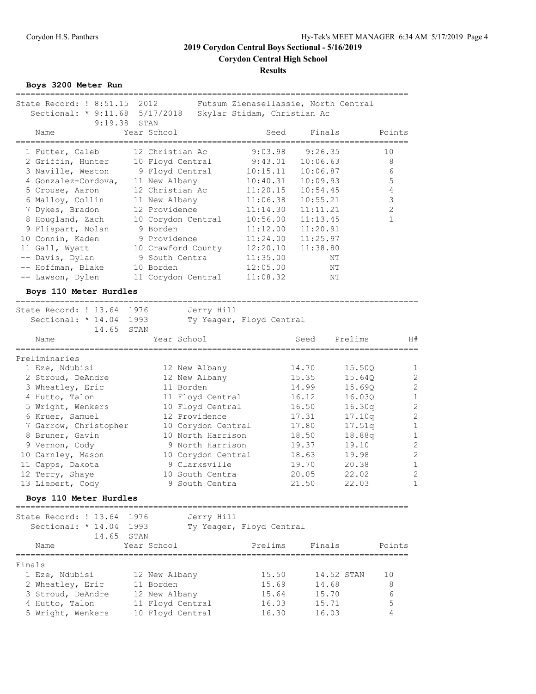## **Results**

**Boys 3200 Meter Run**

| State Record: ! 8:51.15<br>Sectional: * 9:11.68 5/17/2018<br>9:19.38 | 2012<br>STAN       | Futsum Zienasellassie, North Central<br>Skylar Stidam, Christian Ac |                                      |                          |
|----------------------------------------------------------------------|--------------------|---------------------------------------------------------------------|--------------------------------------|--------------------------|
| Name                                                                 | Year School        | Seed                                                                | Finals                               | Points                   |
| 1 Futter, Caleb                                                      | 12 Christian Ac    | 9:03.98                                                             | 9:26.35                              | 10                       |
| 2 Griffin, Hunter                                                    | 10 Floyd Central   | 9:43.01                                                             | 10:06.63                             | 8                        |
| 3 Naville, Weston                                                    | 9 Floyd Central    | 10:15.11                                                            | 10:06.87                             | 6                        |
| 4 Gonzalez-Cordova,                                                  | 11 New Albany      | 10:40.31                                                            | 10:09.93                             | 5                        |
| 5 Crouse, Aaron                                                      | 12 Christian Ac    | 11:20.15                                                            | 10:54.45                             | $\sqrt{4}$               |
| 6 Malloy, Collin                                                     | 11 New Albany      | 11:06.38                                                            | 10:55.21                             | $\mathsf 3$              |
| 7 Dykes, Bradon                                                      | 12 Providence      | 11:14.30                                                            | 11:11.21                             | $\mathbf{2}$             |
| 8 Hougland, Zach                                                     | 10 Corydon Central | 10:56.00                                                            | 11:13.45                             | $\mathbf{1}$             |
| 9 Flispart, Nolan                                                    | 9 Borden           | 11:12.00                                                            | 11:20.91                             |                          |
| 10 Connin, Kaden                                                     | 9 Providence       | 11:24.00                                                            | 11:25.97                             |                          |
| 11 Gall, Wyatt                                                       | 10 Crawford County | 12:20.10                                                            | 11:38.80                             |                          |
| -- Davis, Dylan                                                      | 9 South Centra     | 11:35.00                                                            | ΝT                                   |                          |
| -- Hoffman, Blake                                                    | 10 Borden          | 12:05.00                                                            | ΝT                                   |                          |
| -- Lawson, Dylen                                                     | 11 Corydon Central | 11:08.32                                                            | ΝT                                   |                          |
|                                                                      |                    |                                                                     |                                      |                          |
| Boys 110 Meter Hurdles                                               |                    |                                                                     |                                      |                          |
| State Record: ! 13.64 1976                                           | Jerry Hill         |                                                                     |                                      |                          |
| Sectional: * 14.04 1993                                              |                    | Ty Yeager, Floyd Central                                            |                                      |                          |
| 14.65                                                                | STAN               |                                                                     |                                      |                          |
| Name                                                                 | Year School        |                                                                     | Seed<br>============================ | Prelims<br>H#            |
| Preliminaries                                                        |                    |                                                                     |                                      |                          |
| 1 Eze, Ndubisi                                                       | 12 New Albany      |                                                                     | 14.70                                | 15.50Q<br>1              |
| 2 Stroud, DeAndre                                                    | 12 New Albany      |                                                                     | 15.35                                | $\mathbf{2}$<br>15.64Q   |
| 3 Wheatley, Eric                                                     | 11 Borden          |                                                                     | 14.99                                | $\overline{c}$<br>15.690 |
| 4 Hutto, Talon                                                       | 11 Floyd Central   |                                                                     | 16.12                                | $\mathbf{1}$<br>16.030   |
| 5 Wright, Wenkers                                                    | 10 Floyd Central   |                                                                     | 16.50                                | $\mathbf{2}$<br>16.30q   |
| 6 Kruer, Samuel                                                      | 12 Providence      |                                                                     | 17.31                                | $\overline{c}$<br>17.10q |
| 7 Garrow, Christopher                                                | 10 Corydon Central |                                                                     | 17.80                                | $\mathbf{1}$<br>17.51q   |
| 8 Bruner, Gavin                                                      | 10 North Harrison  |                                                                     | 18.50                                | $\mathbf{1}$<br>18.88q   |
| 9 Vernon, Cody                                                       | 9 North Harrison   |                                                                     | 19.37                                | $\overline{c}$<br>19.10  |
| 10 Carnley, Mason                                                    | 10 Corydon Central |                                                                     | 18.63                                | $\overline{c}$<br>19.98  |
| 11 Capps, Dakota                                                     | 9 Clarksville      |                                                                     | 19.70                                | $\mathbf{1}$<br>20.38    |
| 12 Terry, Shaye                                                      | 10 South Centra    |                                                                     | 20.05                                | $\overline{c}$<br>22.02  |
| 13 Liebert, Cody                                                     | 9 South Centra     |                                                                     | 21.50                                | 22.03<br>1               |
|                                                                      |                    |                                                                     |                                      |                          |
| Boys 110 Meter Hurdles                                               |                    |                                                                     |                                      |                          |
| State Record: ! 13.64                                                | 1976<br>Jerry Hill |                                                                     |                                      |                          |
| Sectional: * 14.04 1993                                              |                    | Ty Yeager, Floyd Central                                            |                                      |                          |
| 14.65                                                                | STAN               |                                                                     |                                      |                          |
| Name                                                                 | Year School        | Prelims                                                             | Finals                               | Points                   |
|                                                                      |                    |                                                                     |                                      |                          |
| Finals<br>1 Eze, Ndubisi                                             | 12 New Albany      | 15.50                                                               | 14.52 STAN                           | 10                       |
|                                                                      | 11 Borden          | 15.69                                                               | 14.68                                | 8                        |
| 2 Wheatley, Eric                                                     |                    |                                                                     |                                      |                          |
| 3 Stroud, DeAndre<br>4 Hutto, Talon                                  | 12 New Albany      | 15.64                                                               | 15.70<br>15.71                       | 6<br>5                   |
|                                                                      | 11 Floyd Central   | 16.03<br>16.30                                                      | 16.03                                | 4                        |
| 5 Wright, Wenkers                                                    | 10 Floyd Central   |                                                                     |                                      |                          |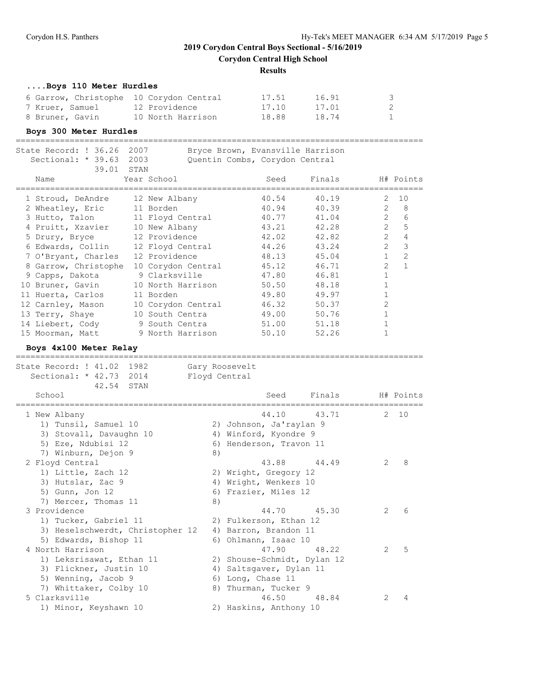**Corydon Central High School**

#### **Results**

#### **....Boys 110 Meter Hurdles**

| 6 Garrow, Christophe 10 Corydon Central |                   | 17.51 | 16.91 | -3           |
|-----------------------------------------|-------------------|-------|-------|--------------|
| 7 Kruer, Samuel                         | 12 Providence     | 17.10 | 17.01 |              |
| 8 Bruner, Gavin                         | 10 North Harrison | 18.88 | 18.74 | $\mathbf{1}$ |

#### **Boys 300 Meter Hurdles**

| State Record: ! 36.26<br>Sectional: * 39.63 2003 | 2007 | Bryce Brown, Evansville Harrison<br>Quentin Combs, Corydon Central |       |        |                |                |
|--------------------------------------------------|------|--------------------------------------------------------------------|-------|--------|----------------|----------------|
| 39.01 STAN                                       |      |                                                                    |       |        |                |                |
| Name                                             |      | Year School                                                        | Seed  | Finals |                | H# Points      |
| 1 Stroud, DeAndre                                |      | 12 New Albany                                                      | 40.54 | 40.19  | 2              | 10             |
| 2 Wheatley, Eric                                 |      | 11 Borden                                                          | 40.94 | 40.39  | $\mathcal{L}$  | 8              |
| 3 Hutto, Talon                                   |      | 11 Floyd Central                                                   | 40.77 | 41.04  | $\mathfrak{D}$ | 6              |
| 4 Pruitt, Xzavier                                |      | 10 New Albany                                                      | 43.21 | 42.28  | $\mathcal{L}$  | 5              |
| 5 Drury, Bryce                                   |      | 12 Providence                                                      | 42.02 | 42.82  | $\overline{2}$ | $\overline{4}$ |
| 6 Edwards, Collin                                |      | 12 Floyd Central 44.26                                             |       | 43.24  | $\mathcal{L}$  | 3              |
| 7 O'Bryant, Charles                              |      | 12 Providence                                                      | 48.13 | 45.04  | $\mathbf{1}$   | $\overline{2}$ |
| 8 Garrow, Christophe                             |      | 10 Corydon Central                                                 | 45.12 | 46.71  | $\overline{2}$ | $\mathbf{1}$   |
| 9 Capps, Dakota                                  |      | 9 Clarksville                                                      | 47.80 | 46.81  |                |                |
| 10 Bruner, Gavin                                 |      | 10 North Harrison                                                  | 50.50 | 48.18  | 1              |                |
| 11 Huerta, Carlos                                |      | 11 Borden                                                          | 49.80 | 49.97  |                |                |
| 12 Carnley, Mason                                |      | 10 Corydon Central                                                 | 46.32 | 50.37  | $\overline{2}$ |                |
| 13 Terry, Shaye                                  |      | 10 South Centra                                                    | 49.00 | 50.76  |                |                |
| 14 Liebert, Cody                                 |      | 9 South Centra the South Central                                   | 51.00 | 51.18  |                |                |
| 15 Moorman, Matt                                 |      | 9 North Harrison                                                   | 50.10 | 52.26  |                |                |

## **Boys 4x100 Meter Relay**

=================================================================================== State Record: ! 41.02 1982 Gary Roosevelt Sectional: \* 42.73 2014 Floyd Central 42.54 STAN School School Seed Finals H# Points =================================================================================== 1 New Albany 44.10 43.71 2 10 1) Tunsil, Samuel 10 2) Johnson, Ja'raylan 9 3) Stovall, Davaughn 10 4) Winford, Kyondre 9 5) Eze, Ndubisi 12 6) Henderson, Travon 11 7) Winburn, Dejon 9 8) 2 Floyd Central 43.88 44.49 2 8 1) Little, Zach 12 2) Wright, Gregory 12 3) Hutslar, Zac 9 4) Wright, Wenkers 10 5) Gunn, Jon 12 (5) South Containst Solutions of the South States of the South States of Tanar and States of T 7) Mercer, Thomas 11 8) 3 Providence 44.70 45.30 2 6 1) Tucker, Gabriel 11 2) Fulkerson, Ethan 12 3) Heselschwerdt, Christopher 12 4) Barron, Brandon 11 5) Edwards, Bishop 11 6) Ohlmann, Isaac 10 4 North Harrison 2008 12:00 47.90 48.22 2 5 1) Leksrisawat, Ethan 11 2) Shouse-Schmidt, Dylan 12 3) Flickner, Justin 10 4) Saltsgaver, Dylan 11 5) Wenning, Jacob 9 6) Long, Chase 11 7) Whittaker, Colby 10 8) Thurman, Tucker 9 5 Clarksville 46.50 48.84 2 4 1) Minor, Keyshawn 10 2) Haskins, Anthony 10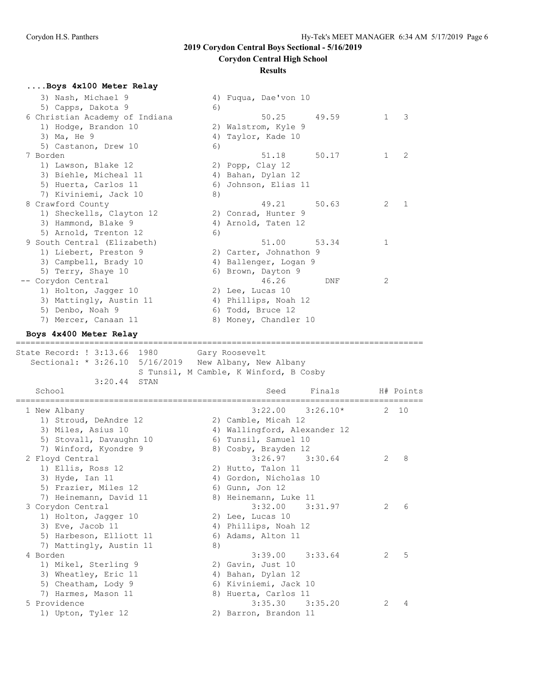## **Corydon Central High School**

#### **Results**

## **....Boys 4x100 Meter Relay**

| 3) Nash, Michael 9                            |    | 4) Fuqua, Dae'von 10                        |           |
|-----------------------------------------------|----|---------------------------------------------|-----------|
| 5) Capps, Dakota 9                            | 6) |                                             |           |
| 6 Christian Academy of Indiana                |    | 50.25<br>49.59                              | 1<br>3    |
| 1) Hodge, Brandon 10                          |    | 2) Walstrom, Kyle 9                         |           |
| 3) Ma, He 9                                   |    | 4) Taylor, Kade 10                          |           |
| 5) Castanon, Drew 10                          | 6) |                                             |           |
| 7 Borden                                      |    | 51.18<br>50.17                              | 2<br>1    |
| 1) Lawson, Blake 12                           |    | 2) Popp, Clay 12                            |           |
| 3) Biehle, Micheal 11                         |    | 4) Bahan, Dylan 12                          |           |
| 5) Huerta, Carlos 11                          | 6) | Johnson, Elias 11                           |           |
| 7) Kiviniemi, Jack 10                         | 8) |                                             |           |
| 8 Crawford County                             |    | 49.21<br>50.63                              | 2<br>1    |
| 1) Sheckells, Clayton 12                      |    | 2) Conrad, Hunter 9                         |           |
| 3) Hammond, Blake 9                           |    | 4) Arnold, Taten 12                         |           |
| 5) Arnold, Trenton 12                         | 6) |                                             |           |
| 9 South Central (Elizabeth)                   |    | 51.00<br>53.34                              | 1         |
| 1) Liebert, Preston 9                         |    | 2) Carter, Johnathon 9                      |           |
| 3) Campbell, Brady 10                         |    | 4) Ballenger, Logan 9                       |           |
| 5) Terry, Shaye 10                            |    | 6) Brown, Dayton 9                          |           |
| Corydon Central                               |    | 46.26<br>DNF                                | 2         |
| 1) Holton, Jagger 10                          |    | 2) Lee, Lucas 10                            |           |
| 3) Mattingly, Austin 11                       |    | 4) Phillips, Noah 12                        |           |
| 5) Denbo, Noah 9                              |    | 6) Todd, Bruce 12                           |           |
| 7) Mercer, Canaan 11                          |    | 8) Money, Chandler 10                       |           |
| Boys 4x400 Meter Relay                        |    |                                             |           |
| ========<br>============                      |    | =================                           |           |
|                                               |    |                                             |           |
|                                               |    |                                             |           |
| State Record: ! 3:13.66 1980                  |    | Gary Roosevelt                              |           |
| Sectional: * 3:26.10                          |    | 5/16/2019 New Albany, New Albany            |           |
| 3:20.44                                       |    | S Tunsil, M Camble, K Winford, B Cosby      |           |
| STAN<br>School                                |    | Finals<br>Seed                              | H# Points |
|                                               |    |                                             |           |
| 1 New Albany                                  |    | 3:22.00<br>$3:26.10*$                       | 2<br>10   |
| 1) Stroud, DeAndre 12                         |    |                                             |           |
|                                               |    | 2) Camble, Micah 12                         |           |
| 3) Miles, Asius 10<br>5) Stovall, Davaughn 10 |    | 4) Wallingford, Alexander 12                |           |
|                                               |    | 6) Tunsil, Samuel 10                        |           |
| 7) Winford, Kyondre 9                         |    | 8) Cosby, Brayden 12<br>3:26.97<br>3:30.64  | 2<br>8    |
| 2 Floyd Central                               |    |                                             |           |
| 1) Ellis, Ross 12                             |    | 2) Hutto, Talon 11                          |           |
| 3) Hyde, Ian 11                               |    | 4) Gordon, Nicholas 10                      |           |
| 5) Frazier, Miles 12                          |    | 6) Gunn, Jon 12                             |           |
| 7) Heinemann, David 11                        |    | 8) Heinemann, Luke 11                       |           |
| 3 Corydon Central                             |    | 3:32.00<br>3:31.97                          | 6<br>2    |
| 1) Holton, Jagger 10                          |    | 2) Lee, Lucas 10                            |           |
| 3) Eve, Jacob 11                              |    | 4) Phillips, Noah 12                        |           |
| 5) Harbeson, Elliott 11                       |    | 6) Adams, Alton 11                          |           |
| 7) Mattingly, Austin 11                       | 8) |                                             |           |
| 4 Borden                                      |    | 3:39.00<br>3:33.64                          | 5<br>2    |
| 1) Mikel, Sterling 9                          |    | 2) Gavin, Just 10                           |           |
| 3) Wheatley, Eric 11                          |    | 4) Bahan, Dylan 12                          |           |
| 5) Cheatham, Lody 9                           |    | 6) Kiviniemi, Jack 10                       |           |
| 7) Harmes, Mason 11                           |    | 8) Huerta, Carlos 11                        |           |
| 5 Providence<br>1) Upton, Tyler 12            |    | 3:35.30<br>3:35.20<br>2) Barron, Brandon 11 | 2<br>4    |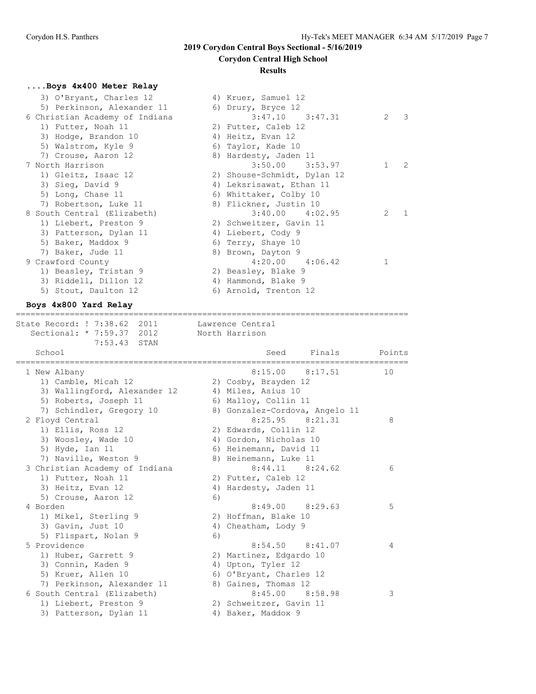## **Corydon Central High School**

#### **Results**

## **....Boys 4x400 Meter Relay**

| 3) O'Bryant, Charles 12        | 4) Kruer, Samuel 12         |                   |
|--------------------------------|-----------------------------|-------------------|
| 5) Perkinson, Alexander 11     | 6) Drury, Bryce 12          |                   |
| 6 Christian Academy of Indiana | $3:47.10$ $3:47.31$         | 3<br>2            |
| 1) Futter, Noah 11             | 2) Futter, Caleb 12         |                   |
| 3) Hodge, Brandon 10           | 4) Heitz, Evan 12           |                   |
| 5) Walstrom, Kyle 9            | 6) Taylor, Kade 10          |                   |
| 7) Crouse, Aaron 12            | 8) Hardesty, Jaden 11       |                   |
| 7 North Harrison               | $3:50.00$ $3:53.97$         | $\mathbf{1}$<br>2 |
| 1) Gleitz, Isaac 12            | 2) Shouse-Schmidt, Dylan 12 |                   |
| 3) Sieg, David 9               | 4) Leksrisawat, Ethan 11    |                   |
| 5) Long, Chase 11              | 6) Whittaker, Colby 10      |                   |
| 7) Robertson, Luke 11          | 8) Flickner, Justin 10      |                   |
| 8 South Central (Elizabeth)    | $3:40.00$ $4:02.95$         | 2                 |
| 1) Liebert, Preston 9          | 2) Schweitzer, Gavin 11     |                   |
| 3) Patterson, Dylan 11         | 4) Liebert, Cody 9          |                   |
| 5) Baker, Maddox 9             | 6) Terry, Shaye 10          |                   |
| 7) Baker, Jude 11              | 8) Brown, Dayton 9          |                   |
| 9 Crawford County              | $4:20.00$ $4:06.42$         |                   |
| 1) Beasley, Tristan 9          | 2) Beasley, Blake 9         |                   |
| 3) Riddell, Dillon 12          | 4) Hammond, Blake 9         |                   |
| 5) Stout, Daulton 12           | 6) Arnold, Trenton 12       |                   |
|                                |                             |                   |

## **Boys 4x800 Yard Relay**

================================================================================ State Record: ! 7:38.62 2011 Lawrence Central Sectional: \* 7:59.37 2012 North Harrison

| 7:53.43 STAN                   |    |                         |                                |        |
|--------------------------------|----|-------------------------|--------------------------------|--------|
| School                         |    | Seed                    | Finals                         | Points |
| 1 New Albany                   |    | 8:15.00                 | 8:17.51                        | 10     |
| 1) Camble, Micah 12            |    | 2) Cosby, Brayden 12    |                                |        |
| 3) Wallingford, Alexander 12   |    | 4) Miles, Asius 10      |                                |        |
| 5) Roberts, Joseph 11          |    | 6) Malloy, Collin 11    |                                |        |
| 7) Schindler, Gregory 10       |    |                         | 8) Gonzalez-Cordova, Angelo 11 |        |
| 2 Floyd Central                |    |                         | $8:25.95$ $8:21.31$            | 8      |
| 1) Ellis, Ross 12              |    | 2) Edwards, Collin 12   |                                |        |
| 3) Woosley, Wade 10            |    | 4) Gordon, Nicholas 10  |                                |        |
| 5) Hyde, Ian $11$              |    | 6) Heinemann, David 11  |                                |        |
| 7) Naville, Weston 9           |    | 8) Heinemann, Luke 11   |                                |        |
| 3 Christian Academy of Indiana |    |                         | $8:44.11$ $8:24.62$            | 6      |
| 1) Futter, Noah 11             |    | 2) Futter, Caleb 12     |                                |        |
| 3) Heitz, Evan 12              |    | 4) Hardesty, Jaden 11   |                                |        |
| 5) Crouse, Aaron 12            | 6) |                         |                                |        |
| 4 Borden                       |    |                         | $8:49.00$ $8:29.63$            | 5      |
| 1) Mikel, Sterling 9           |    | 2) Hoffman, Blake 10    |                                |        |
| 3) Gavin, Just 10              |    | 4) Cheatham, Lody 9     |                                |        |
| 5) Flispart, Nolan 9           | 6) |                         |                                |        |
| 5 Providence                   |    |                         | $8:54.50$ $8:41.07$            | 4      |
| 1) Huber, Garrett 9            |    | 2) Martinez, Edgardo 10 |                                |        |
| 3) Connin, Kaden 9             |    | 4) Upton, Tyler 12      |                                |        |
| 5) Kruer, Allen 10             |    | 6) O'Bryant, Charles 12 |                                |        |
| 7) Perkinson, Alexander 11     |    | 8) Gaines, Thomas 12    |                                |        |
| 6 South Central (Elizabeth)    |    |                         | $8:45.00$ $8:58.98$            | 3      |
| 1) Liebert, Preston 9          |    | 2) Schweitzer, Gavin 11 |                                |        |
| 3) Patterson, Dylan 11         |    | 4) Baker, Maddox 9      |                                |        |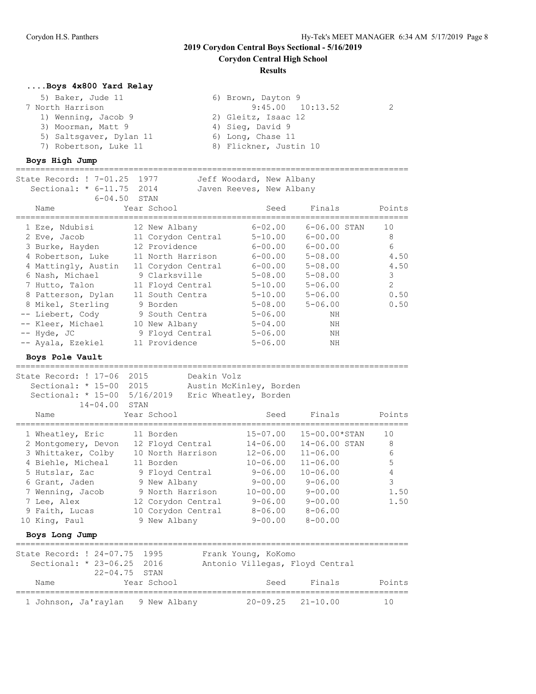**Corydon Central High School**

#### **Results**

#### **....Boys 4x800 Yard Relay**

| 5) Baker, Jude 11       | 6) Brown, Dayton 9     |  |
|-------------------------|------------------------|--|
| 7 North Harrison        | $9:45.00$ $10:13.52$   |  |
| 1) Wenning, Jacob 9     | 2) Gleitz, Isaac 12    |  |
| 3) Moorman, Matt 9      | 4) Sieg, David 9       |  |
| 5) Saltsgaver, Dylan 11 | 6) Long, Chase 11      |  |
| 7) Robertson, Luke 11   | 8) Flickner, Justin 10 |  |
|                         |                        |  |

#### **Boys High Jump**

================================================================================ State Record: ! 7-01.25 1977 Jeff Woodard, New Albany Sectional: \* 6-11.75 2014 Javen Reeves, New Albany 6-04.50 STAN<br>Year School Name Year School Seed Finals Points ================================================================================ 1 Eze, Ndubisi 12 New Albany 6-02.00 6-06.00 STAN 10 2 Eve, Jacob 11 Corydon Central 5-10.00 6-00.00 8 3 Burke, Hayden 12 Providence 6-00.00 6-00.00 6 4 Robertson, Luke 11 North Harrison 6-00.00 5-08.00 4.50 4 Mattingly, Austin 11 Corydon Central 6-00.00 5-08.00 4.50 6 Nash, Michael 9 Clarksville 5-08.00 5-08.00 3 7 Hutto, Talon 11 Floyd Central 5-10.00 5-06.00 2 8 Patterson, Dylan 11 South Centra 5-10.00 5-06.00 0.50 8 Mikel, Sterling 9 Borden 5-08.00 5-06.00 0.50 -- Liebert, Cody 9 South Centra 5-06.00 NH -- Kleer, Michael 10 New Albany 5-04.00 NH -- Hyde, JC 9 Floyd Central 5-06.00 NH -- Ayala, Ezekiel 11 Providence 5-06.00 NH

**Boys Pole Vault** ================================================================================

State Record: ! 17-06 2015 Deakin Volz Sectional: \* 15-00 2015 Austin McKinley, Borden Sectional: \* 15-00 5/16/2019 Eric Wheatley, Borden 14-04.00 STAN<br>e Year School Name Year School Seed Finals Points ================================================================================ 1 Wheatley, Eric 11 Borden 15-07.00 15-00.00\*STAN 10 2 Montgomery, Devon 12 Floyd Central 14-06.00 14-06.00 STAN 8 3 Whittaker, Colby 10 North Harrison 12-06.00 11-06.00 6 4 Biehle, Micheal 11 Borden 10-06.00 11-06.00 5 5 Hutslar, Zac 9 Floyd Central 9-06.00 10-06.00 4 6 Grant, Jaden 9 New Albany 9-00.00 9-06.00 3 7 Wenning, Jacob 9 North Harrison 10-00.00 9-00.00 1.50 7 Lee, Alex 12 Corydon Central 9-06.00 9-00.00 1.50 9 Faith, Lucas 10 Corydon Central 8-06.00 8-06.00 10 King, Paul 9 New Albany 9-00.00 8-00.00 **Boys Long Jump** ================================================================================ State Record: ! 24-07.75 1995 Frank Young, KoKomo Sectional: \* 23-06.25 2016 Antonio Villegas, Floyd Central 22-04.75 STAN Name Year School Seed Finals Points ================================================================================ 1 Johnson, Ja'raylan 9 New Albany 20-09.25 21-10.00 10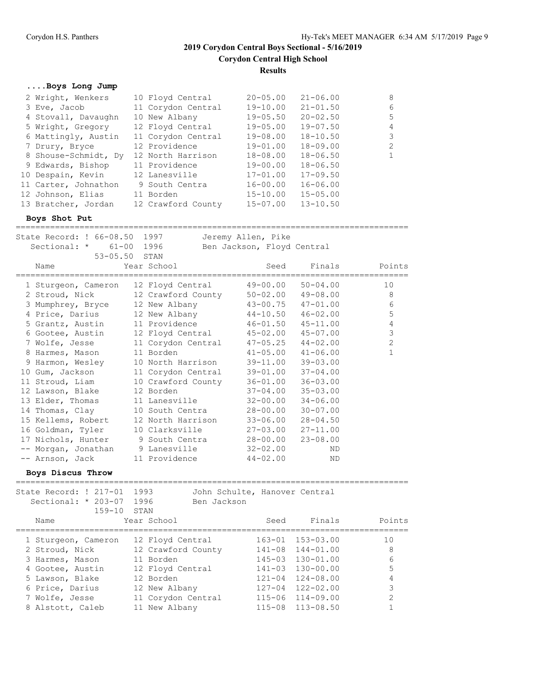**Corydon Central High School**

**Results**

## **....Boys Long Jump**

| 2 Wright, Wenkers    | 10 Floyd Central   | $20 - 05.00$ | $21 - 06.00$ | 8            |
|----------------------|--------------------|--------------|--------------|--------------|
| 3 Eve, Jacob         | 11 Corydon Central | $19 - 10.00$ | $21 - 01.50$ | 6            |
| 4 Stovall, Davaughn  | 10 New Albany      | $19 - 05.50$ | $20 - 02.50$ | 5            |
| 5 Wright, Gregory    | 12 Floyd Central   | $19 - 05.00$ | $19 - 07.50$ | 4            |
| 6 Mattingly, Austin  | 11 Corydon Central | $19 - 08.00$ | $18 - 10.50$ | 3            |
| 7 Drury, Bryce       | 12 Providence      | $19 - 01.00$ | $18 - 09.00$ | 2            |
| 8 Shouse-Schmidt, Dy | 12 North Harrison  | 18-08.00     | $18 - 06.50$ | $\mathbf{1}$ |
| 9 Edwards, Bishop    | 11 Providence      | $19 - 00.00$ | $18 - 06.50$ |              |
| 10 Despain, Kevin    | 12 Lanesville      | $17 - 01.00$ | $17 - 09.50$ |              |
| 11 Carter, Johnathon | 9 South Centra     | $16 - 00.00$ | $16 - 06.00$ |              |
| 12 Johnson, Elias    | 11 Borden          | $15 - 10.00$ | $15 - 05.00$ |              |
| 13 Bratcher, Jordan  | 12 Crawford County | $15 - 07.00$ | $13 - 10.50$ |              |

#### **Boys Shot Put**

|  | State Record: ! 66-08.50 1997                    |  |             | Jeremy Allen, Pike         |              |                |  |  |
|--|--------------------------------------------------|--|-------------|----------------------------|--------------|----------------|--|--|
|  | Sectional: * 61-00 1996                          |  |             | Ben Jackson, Floyd Central |              |                |  |  |
|  | $53 - 05.50$ STAN                                |  |             |                            |              |                |  |  |
|  | Name                                             |  | Year School | Seed                       |              | Finals Points  |  |  |
|  |                                                  |  |             |                            |              |                |  |  |
|  | 1 Sturgeon, Cameron 12 Floyd Central             |  |             | $49 - 00.00$ $50 - 04.00$  |              | 10             |  |  |
|  | 2 Stroud, Nick 12 Crawford County                |  |             | $50 - 02.00$ $49 - 08.00$  |              | 8              |  |  |
|  | 3 Mumphrey, Bryce 12 New Albany                  |  |             | 43-00.75 47-01.00          |              | 6              |  |  |
|  | 4 Price, Darius 12 New Albany                    |  |             | $44-10.50$ $46-02.00$      |              | 5              |  |  |
|  | 5 Grantz, Austin 11 Providence 46-01.50 45-11.00 |  |             |                            |              | 4              |  |  |
|  | 6 Gootee, Austin 12 Floyd Central                |  |             | 45-02.00 45-07.00          |              | 3              |  |  |
|  | 7 Wolfe, Jesse 11 Corydon Central                |  |             | $47 - 05.25$ $44 - 02.00$  |              | $\overline{2}$ |  |  |
|  | 8 Harmes, Mason                                  |  | 11 Borden   | $41 - 05.00$               | $41 - 06.00$ | 1              |  |  |
|  | 9 Harmon, Wesley 10 North Harrison               |  |             | 39-11.00                   | $39 - 03.00$ |                |  |  |
|  | 10 Gum, Jackson 11 Corydon Central               |  |             | $39 - 01.00$               | $37 - 04.00$ |                |  |  |
|  | 11 Stroud, Liam 10 Crawford County               |  |             | $36 - 01.00$               | $36 - 03.00$ |                |  |  |
|  | 12 Lawson, Blake 12 Borden                       |  |             | $37 - 04.00$               | $35 - 03.00$ |                |  |  |
|  | 13 Elder, Thomas 11 Lanesville                   |  |             | $32 - 00.00$               | $34 - 06.00$ |                |  |  |
|  | 14 Thomas, Clay 10 South Centra                  |  |             | 28-00.00                   | $30 - 07.00$ |                |  |  |
|  | 15 Kellems, Robert 12 North Harrison             |  |             | $33 - 06.00$               | $28 - 04.50$ |                |  |  |
|  | 16 Goldman, Tyler 10 Clarksville                 |  |             | 27-03.00                   | $27 - 11.00$ |                |  |  |
|  | 17 Nichols, Hunter 9 South Centra                |  |             | $28 - 00.00$ $23 - 08.00$  |              |                |  |  |
|  | -- Morgan, Jonathan 9 Lanesville                 |  |             | 32-02.00                   | ND           |                |  |  |
|  | -- Arnson, Jack 11 Providence                    |  |             | 44-02.00                   | ND           |                |  |  |
|  |                                                  |  |             |                            |              |                |  |  |

**Boys Discus Throw**

| 1993<br>State Record: ! 217-01<br>John Schulte, Hanover Central<br>Sectional: $* 203-07$<br>1996<br>Ben Jackson<br>$159 - 10$<br>STAN<br>Year School<br>Finals<br>Seed<br>Name<br>$163 - 01$ $153 - 03.00$<br>1 Sturgeon, Cameron<br>12 Floyd Central<br>$141 - 08$ $144 - 01$ , 00<br>2 Stroud, Nick<br>12 Crawford County<br>$145 - 03$ $130 - 01.00$<br>11 Borden<br>3 Harmes, Mason<br>$141 - 03$ $130 - 00.00$<br>12 Floyd Central<br>4 Gootee, Austin<br>$121 - 04$ $124 - 08.00$<br>12 Borden<br>5 Lawson, Blake<br>$127 - 04$ $122 - 02.00$<br>6 Price, Darius<br>12 New Albany<br>$115 - 06$ $114 - 09.00$<br>11 Corydon Central<br>7 Wolfe, Jesse |                 |
|-------------------------------------------------------------------------------------------------------------------------------------------------------------------------------------------------------------------------------------------------------------------------------------------------------------------------------------------------------------------------------------------------------------------------------------------------------------------------------------------------------------------------------------------------------------------------------------------------------------------------------------------------------------|-----------------|
|                                                                                                                                                                                                                                                                                                                                                                                                                                                                                                                                                                                                                                                             |                 |
|                                                                                                                                                                                                                                                                                                                                                                                                                                                                                                                                                                                                                                                             | Points          |
|                                                                                                                                                                                                                                                                                                                                                                                                                                                                                                                                                                                                                                                             | 10              |
|                                                                                                                                                                                                                                                                                                                                                                                                                                                                                                                                                                                                                                                             | 8               |
|                                                                                                                                                                                                                                                                                                                                                                                                                                                                                                                                                                                                                                                             | $6\overline{6}$ |
|                                                                                                                                                                                                                                                                                                                                                                                                                                                                                                                                                                                                                                                             | 5               |
|                                                                                                                                                                                                                                                                                                                                                                                                                                                                                                                                                                                                                                                             |                 |
|                                                                                                                                                                                                                                                                                                                                                                                                                                                                                                                                                                                                                                                             |                 |
|                                                                                                                                                                                                                                                                                                                                                                                                                                                                                                                                                                                                                                                             | $\mathcal{D}$   |
| $115 - 08$ $113 - 08.50$<br>8 Alstott, Caleb<br>11 New Albany                                                                                                                                                                                                                                                                                                                                                                                                                                                                                                                                                                                               |                 |